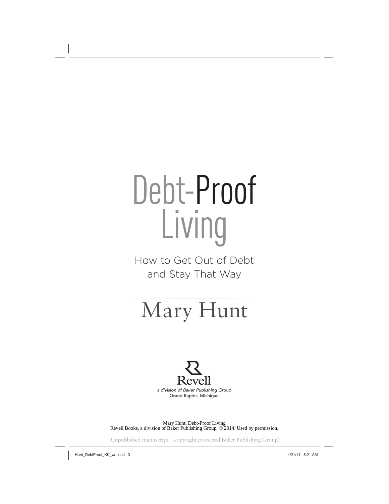How to Get Out of Debt and Stay That Way

# Mary Hunt



Mary Hunt, Debt-Proof Living Revell Books, a division of Baker Publishing Group, © 2014. Used by permission.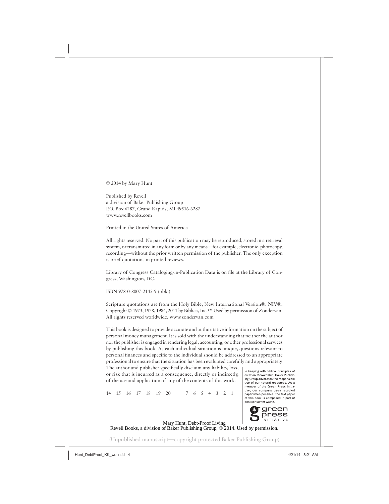© 2014 by Mary Hunt

Published by Revell a division of Baker Publishing Group P.O. Box 6287, Grand Rapids, MI 49516-6287 www.revellbooks.com

Printed in the United States of America

All rights reserved. No part of this publication may be reproduced, stored in a retrieval system, or transmitted in any form or by any means—for example, electronic, photocopy, recording—without the prior written permission of the publisher. The only exception is brief quotations in printed reviews.

Library of Congress Cataloging-in-Publication Data is on file at the Library of Congress, Washington, DC.

ISBN 978-0-8007-2145-9 (pbk.)

Scripture quotations are from the Holy Bible, New International Version®. NIV®. Copyright © 1973, 1978, 1984, 2011 by Biblica, Inc.™ Used by permission of Zondervan. All rights reserved worldwide. www.zondervan.com

This book is designed to provide accurate and authoritative information on the subject of personal money management. It is sold with the understanding that neither the author nor the publisher is engaged in rendering legal, accounting, or other professional services by publishing this book. As each individual situation is unique, questions relevant to personal finances and specific to the individual should be addressed to an appropriate professional to ensure that the situation has been evaluated carefully and appropriately.

The author and publisher specifically disclaim any liability, loss, or risk that is incurred as a consequence, directly or indirectly, of the use and application of any of the contents of this work.

14 15 16 17 18 19 20 7 6 5 4 3 2 1

In keeping with biblical principles of creation stewardship. Baker Publishing Group advocates the responsible use of our natural resources. As a member of the Green Press Initiative, our company uses recycled paper when possible. The text paper of this book is composed in part of post-consumer waste.

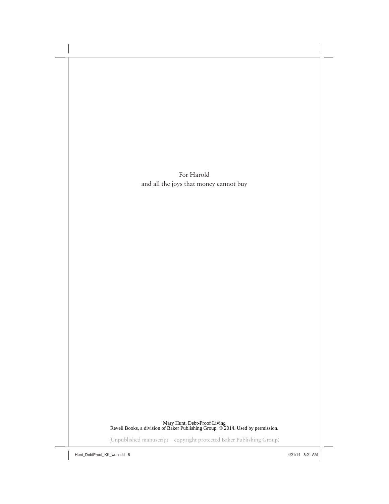For Harold and all the joys that money cannot buy

Mary Hunt, Debt-Proof Living Revell Books, a division of Baker Publishing Group, © 2014. Used by permission.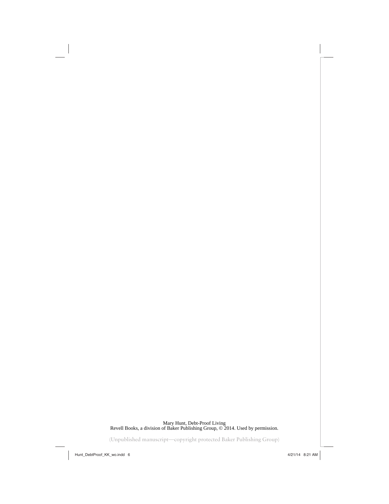Mary Hunt, Debt-Proof Living Revell Books, a division of Baker Publishing Group, © 2014. Used by permission.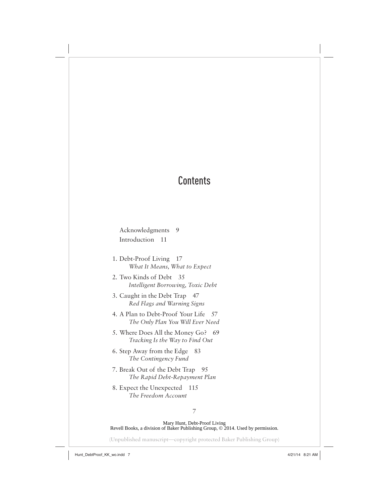# **Contents**

 Acknowledgments 9 Introduction 11

- 1. Debt-Proof Living 17  *What It Means, What to Expect*
- 2. Two Kinds of Debt 35  *Intelligent Borrowing, Toxic Debt*
- 3. Caught in the Debt Trap 47  *Red Flags and Warning Signs*
- 4. A Plan to Debt-Proof Your Life 57  *The Only Plan You Will Ever Need*
- 5. Where Does All the Money Go? 69  *Tracking Is the Way to Find Out*
- 6. Step Away from the Edge 83  *The Contingency Fund*
- 7. Break Out of the Debt Trap 95  *The Rapid Debt-Repayment Plan*
- 8. Expect the Unexpected 115  *The Freedom Account*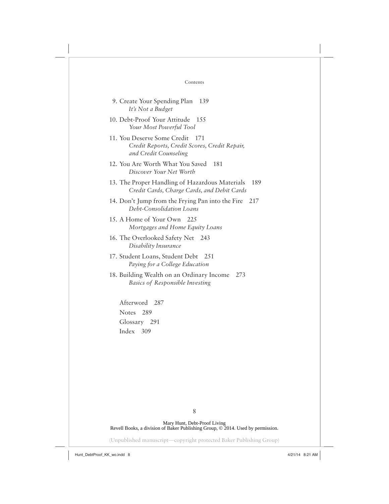#### Contents

- 9. Create Your Spending Plan 139  *It's Not a Budget*
- 10. Debt-Proof Your Attitude 155  *Your Most Powerful Tool*
- 11. You Deserve Some Credit 171  *Credit Reports, Credit Scores, Credit Repair, and Credit Counseling*
- 12. You Are Worth What You Saved 181  *Discover Your Net Worth*
- 13. The Proper Handling of Hazardous Materials 189  *Credit Cards, Charge Cards, and Debit Cards*
- 14. Don't Jump from the Frying Pan into the Fire 217  *Debt-Consolidation Loans*
- 15. A Home of Your Own 225  *Mortgages and Home Equity Loans*
- 16. The Overlooked Safety Net 243  *Disability Insurance*
- 17. Student Loans, Student Debt 251  *Paying for a College Education*
- 18. Building Wealth on an Ordinary Income 273  *Basics of Responsible Investing*

 Afterword 287 Notes 289 Glossary 291 Index 309

Mary Hunt, Debt-Proof Living Revell Books, a division of Baker Publishing Group, © 2014. Used by permission.

8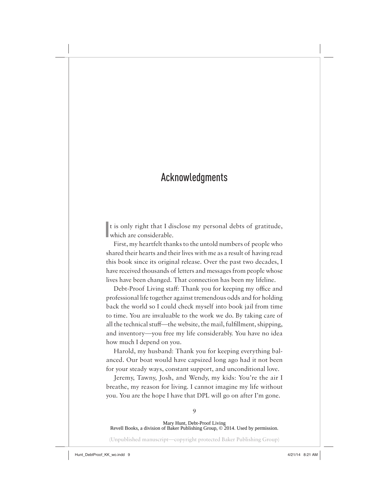# Acknowledgments

**I**<sup>t</sup> is only right that I dividend which are considerable. t is only right that I disclose my personal debts of gratitude,

First, my heartfelt thanks to the untold numbers of people who shared their hearts and their lives with me as a result of having read this book since its original release. Over the past two decades, I have received thousands of letters and messages from people whose lives have been changed. That connection has been my lifeline.

Debt-Proof Living staff: Thank you for keeping my office and professional life together against tremendous odds and for holding back the world so I could check myself into book jail from time to time. You are invaluable to the work we do. By taking care of all the technical stuff—the website, the mail, fulfillment, shipping, and inventory—you free my life considerably. You have no idea how much I depend on you.

Harold, my husband: Thank you for keeping everything balanced. Our boat would have capsized long ago had it not been for your steady ways, constant support, and unconditional love.

Jeremy, Tawny, Josh, and Wendy, my kids: You're the air I breathe, my reason for living. I cannot imagine my life without you. You are the hope I have that DPL will go on after I'm gone.

9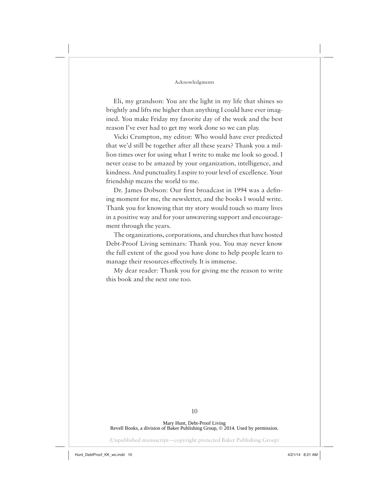#### Acknowledgments

Eli, my grandson: You are the light in my life that shines so brightly and lifts me higher than anything I could have ever imagined. You make Friday my favorite day of the week and the best reason I've ever had to get my work done so we can play.

Vicki Crumpton, my editor: Who would have ever predicted that we'd still be together after all these years? Thank you a million times over for using what I write to make me look so good. I never cease to be amazed by your organization, intelligence, and kindness. And punctuality. I aspire to your level of excellence. Your friendship means the world to me.

Dr. James Dobson: Our first broadcast in 1994 was a defining moment for me, the newsletter, and the books I would write. Thank you for knowing that my story would touch so many lives in a positive way and for your unwavering support and encouragement through the years.

The organizations, corporations, and churches that have hosted Debt-Proof Living seminars: Thank you. You may never know the full extent of the good you have done to help people learn to manage their resources effectively. It is immense.

My dear reader: Thank you for giving me the reason to write this book and the next one too.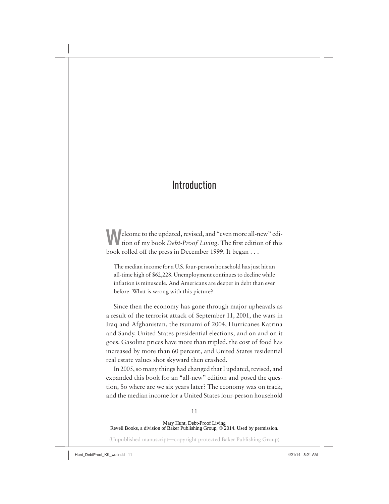**W** elcome to the updated, revised, and "even more all-new" edition of my book *Debt-Proof Living*. The first edition of this tion of my book *Debt-Proof Living*. The first edition of this book rolled off the press in December 1999. It began . . .

The median income for a U.S. four-person household has just hit an all-time high of \$62,228. Unemployment continues to decline while inflation is minuscule. And Americans are deeper in debt than ever before. What is wrong with this picture?

Since then the economy has gone through major upheavals as a result of the terrorist attack of September 11, 2001, the wars in Iraq and Afghanistan, the tsunami of 2004, Hurricanes Katrina and Sandy, United States presidential elections, and on and on it goes. Gasoline prices have more than tripled, the cost of food has increased by more than 60 percent, and United States residential real estate values shot skyward then crashed.

In 2005, so many things had changed that I updated, revised, and expanded this book for an "all-new" edition and posed the question, So where are we six years later? The economy was on track, and the median income for a United States four-person household

Mary Hunt, Debt-Proof Living Revell Books, a division of Baker Publishing Group, © 2014. Used by permission.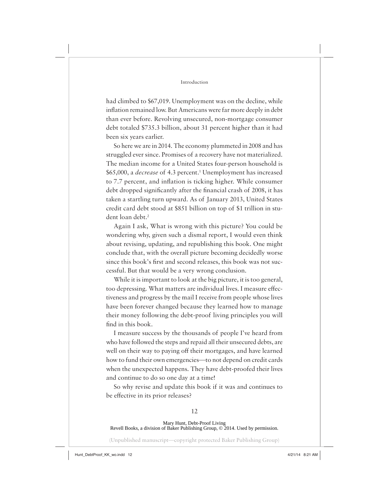had climbed to \$67,019. Unemployment was on the decline, while inflation remained low. But Americans were far more deeply in debt than ever before. Revolving unsecured, non-mortgage consumer debt totaled \$735.3 billion, about 31 percent higher than it had been six years earlier.

So here we are in 2014. The economy plummeted in 2008 and has struggled ever since. Promises of a recovery have not materialized. The median income for a United States four-person household is \$65,000, a *decrease* of 4.3 percent.<sup>1</sup> Unemployment has increased to 7.7 percent, and inflation is ticking higher. While consumer debt dropped significantly after the financial crash of 2008, it has taken a startling turn upward. As of January 2013, United States credit card debt stood at \$851 billion on top of \$1 trillion in student loan debt.<sup>2</sup>

Again I ask, What is wrong with this picture? You could be wondering why, given such a dismal report, I would even think about revising, updating, and republishing this book. One might conclude that, with the overall picture becoming decidedly worse since this book's first and second releases, this book was not successful. But that would be a very wrong conclusion.

While it is important to look at the big picture, it is too general, too depressing. What matters are individual lives. I measure effectiveness and progress by the mail I receive from people whose lives have been forever changed because they learned how to manage their money following the debt-proof living principles you will find in this book.

I measure success by the thousands of people I've heard from who have followed the steps and repaid all their unsecured debts, are well on their way to paying off their mortgages, and have learned how to fund their own emergencies—to not depend on credit cards when the unexpected happens. They have debt-proofed their lives and continue to do so one day at a time!

So why revise and update this book if it was and continues to be effective in its prior releases?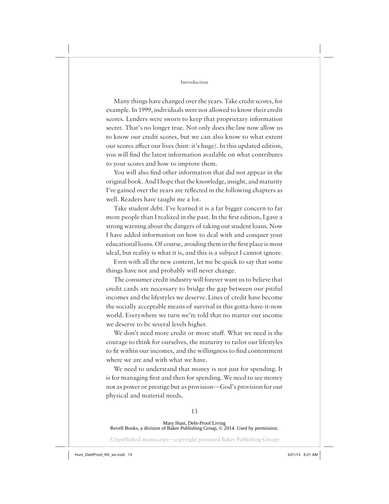Many things have changed over the years. Take credit scores, for example. In 1999, individuals were not allowed to know their credit scores. Lenders were sworn to keep that proprietary information secret. That's no longer true. Not only does the law now allow us to know our credit scores, but we can also know to what extent our scores affect our lives (hint: it's huge). In this updated edition, you will find the latest information available on what contributes to your scores and how to improve them.

You will also find other information that did not appear in the original book. And I hope that the knowledge, insight, and maturity I've gained over the years are reflected in the following chapters as well. Readers have taught me a lot.

Take student debt. I've learned it is a far bigger concern to far more people than I realized in the past. In the first edition, I gave a strong warning about the dangers of taking out student loans. Now I have added information on how to deal with and conquer your educational loans. Of course, avoiding them in the first place is most ideal, but reality is what it is, and this is a subject I cannot ignore.

Even with all the new content, let me be quick to say that some things have not and probably will never change.

The consumer credit industry will forever want us to believe that credit cards are necessary to bridge the gap between our pitiful incomes and the lifestyles we deserve. Lines of credit have become the socially acceptable means of survival in this gotta-have-it-now world. Everywhere we turn we're told that no matter our income we deserve to be several levels higher.

We don't need more credit or more stuff. What we need is the courage to think for ourselves, the maturity to tailor our lifestyles to fit within our incomes, and the willingness to find contentment where we are and with what we have.

We need to understand that money is not just for spending. It is for managing first and then for spending. We need to see money not as power or prestige but as provision—God's provision for our physical and material needs.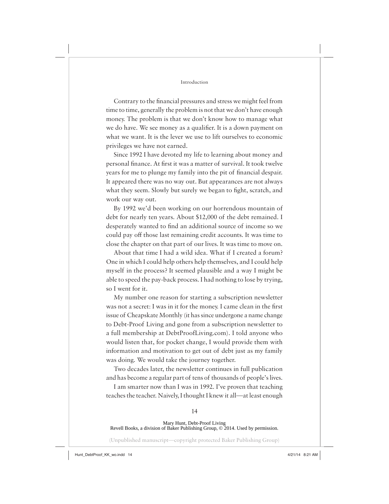Contrary to the financial pressures and stress we might feel from time to time, generally the problem is not that we don't have enough money. The problem is that we don't know how to manage what we do have. We see money as a qualifier. It is a down payment on what we want. It is the lever we use to lift ourselves to economic privileges we have not earned.

Since 1992 I have devoted my life to learning about money and personal finance. At first it was a matter of survival. It took twelve years for me to plunge my family into the pit of financial despair. It appeared there was no way out. But appearances are not always what they seem. Slowly but surely we began to fight, scratch, and work our way out.

By 1992 we'd been working on our horrendous mountain of debt for nearly ten years. About \$12,000 of the debt remained. I desperately wanted to find an additional source of income so we could pay off those last remaining credit accounts. It was time to close the chapter on that part of our lives. It was time to move on.

About that time I had a wild idea. What if I created a forum? One in which I could help others help themselves, and I could help myself in the process? It seemed plausible and a way I might be able to speed the pay-back process. I had nothing to lose by trying, so I went for it.

My number one reason for starting a subscription newsletter was not a secret: I was in it for the money. I came clean in the first issue of Cheapskate Monthly (it has since undergone a name change to Debt-Proof Living and gone from a subscription newsletter to a full membership at DebtProofLiving.com). I told anyone who would listen that, for pocket change, I would provide them with information and motivation to get out of debt just as my family was doing. We would take the journey together.

Two decades later, the newsletter continues in full publication and has become a regular part of tens of thousands of people's lives.

I am smarter now than I was in 1992. I've proven that teaching teaches the teacher. Naively, I thought I knew it all—at least enough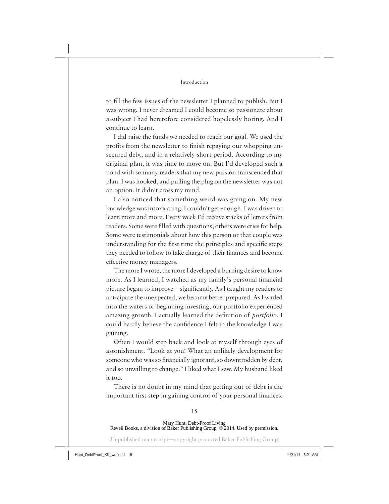to fill the few issues of the newsletter I planned to publish. But I was wrong. I never dreamed I could become so passionate about a subject I had heretofore considered hopelessly boring. And I continue to learn.

I did raise the funds we needed to reach our goal. We used the profits from the newsletter to finish repaying our whopping unsecured debt, and in a relatively short period. According to my original plan, it was time to move on. But I'd developed such a bond with so many readers that my new passion transcended that plan. I was hooked, and pulling the plug on the newsletter was not an option. It didn't cross my mind.

I also noticed that something weird was going on. My new knowledge was intoxicating; I couldn't get enough. I was driven to learn more and more. Every week I'd receive stacks of letters from readers. Some were filled with questions; others were cries for help. Some were testimonials about how this person or that couple was understanding for the first time the principles and specific steps they needed to follow to take charge of their finances and become effective money managers.

The more I wrote, the more I developed a burning desire to know more. As I learned, I watched as my family's personal financial picture began to improve—significantly. As I taught my readers to anticipate the unexpected, we became better prepared. As I waded into the waters of beginning investing, our portfolio experienced amazing growth. I actually learned the definition of *portfolio*. I could hardly believe the confidence I felt in the knowledge I was gaining.

Often I would step back and look at myself through eyes of astonishment. "Look at you! What an unlikely development for someone who was so financially ignorant, so downtrodden by debt, and so unwilling to change." I liked what I saw. My husband liked it too.

There is no doubt in my mind that getting out of debt is the important first step in gaining control of your personal finances.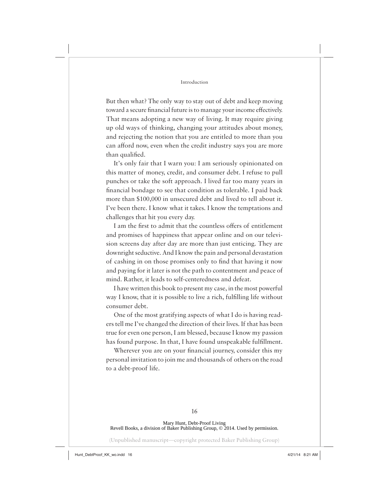But then what? The only way to stay out of debt and keep moving toward a secure financial future is to manage your income effectively. That means adopting a new way of living. It may require giving up old ways of thinking, changing your attitudes about money, and rejecting the notion that you are entitled to more than you can afford now, even when the credit industry says you are more than qualified.

It's only fair that I warn you: I am seriously opinionated on this matter of money, credit, and consumer debt. I refuse to pull punches or take the soft approach. I lived far too many years in financial bondage to see that condition as tolerable. I paid back more than \$100,000 in unsecured debt and lived to tell about it. I've been there. I know what it takes. I know the temptations and challenges that hit you every day.

I am the first to admit that the countless offers of entitlement and promises of happiness that appear online and on our television screens day after day are more than just enticing. They are downright seductive. And I know the pain and personal devastation of cashing in on those promises only to find that having it now and paying for it later is not the path to contentment and peace of mind. Rather, it leads to self-centeredness and defeat.

I have written this book to present my case, in the most powerful way I know, that it is possible to live a rich, fulfilling life without consumer debt.

One of the most gratifying aspects of what I do is having readers tell me I've changed the direction of their lives. If that has been true for even one person, I am blessed, because I know my passion has found purpose. In that, I have found unspeakable fulfillment.

Wherever you are on your financial journey, consider this my personal invitation to join me and thousands of others on the road to a debt-proof life.

16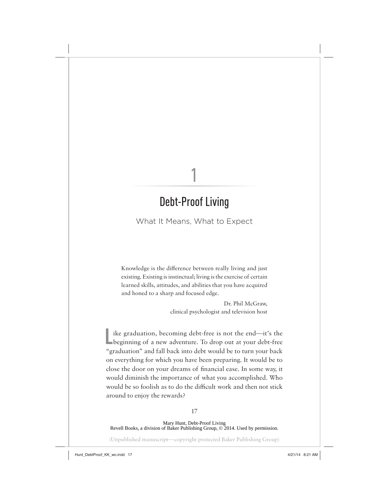1

What It Means, What to Expect

Knowledge is the difference between really living and just existing. Existing is instinctual; living is the exercise of certain learned skills, attitudes, and abilities that you have acquired and honed to a sharp and focused edge.

> Dr. Phil McGraw, clinical psychologist and television host

Like graduation, becoming debt-free is not the end—it's the beginning of a new adventure. To drop out at your debt-free ike graduation, becoming debt-free is not the end—it's the "graduation" and fall back into debt would be to turn your back on everything for which you have been preparing. It would be to close the door on your dreams of financial ease. In some way, it would diminish the importance of what you accomplished. Who would be so foolish as to do the difficult work and then not stick around to enjoy the rewards?

Mary Hunt, Debt-Proof Living Revell Books, a division of Baker Publishing Group, © 2014. Used by permission.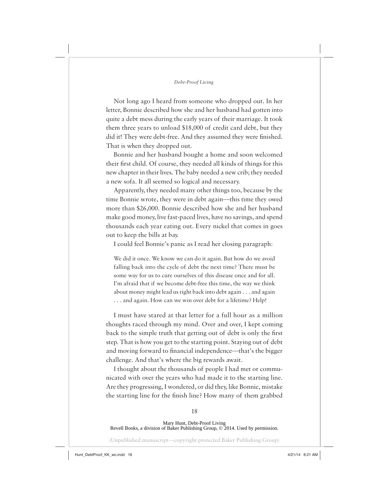Not long ago I heard from someone who dropped out. In her letter, Bonnie described how she and her husband had gotten into quite a debt mess during the early years of their marriage. It took them three years to unload \$18,000 of credit card debt, but they did it! They were debt-free. And they assumed they were finished. That is when they dropped out.

Bonnie and her husband bought a home and soon welcomed their first child. Of course, they needed all kinds of things for this new chapter in their lives. The baby needed a new crib; they needed a new sofa. It all seemed so logical and necessary.

Apparently, they needed many other things too, because by the time Bonnie wrote, they were in debt again—this time they owed more than \$26,000. Bonnie described how she and her husband make good money, live fast-paced lives, have no savings, and spend thousands each year eating out. Every nickel that comes in goes out to keep the bills at bay.

I could feel Bonnie's panic as I read her closing paragraph:

We did it once. We know we can do it again. But how do we avoid falling back into the cycle of debt the next time? There must be some way for us to cure ourselves of this disease once and for all. I'm afraid that if we become debt-free this time, the way we think about money might lead us right back into debt again . . . and again . . . and again. How can we win over debt for a lifetime? Help!

I must have stared at that letter for a full hour as a million thoughts raced through my mind. Over and over, I kept coming back to the simple truth that getting out of debt is only the first step. That is how you get to the starting point. Staying out of debt and moving forward to financial independence—that's the bigger challenge. And that's where the big rewards await.

I thought about the thousands of people I had met or communicated with over the years who had made it to the starting line. Are they progressing, I wondered, or did they, like Bonnie, mistake the starting line for the finish line? How many of them grabbed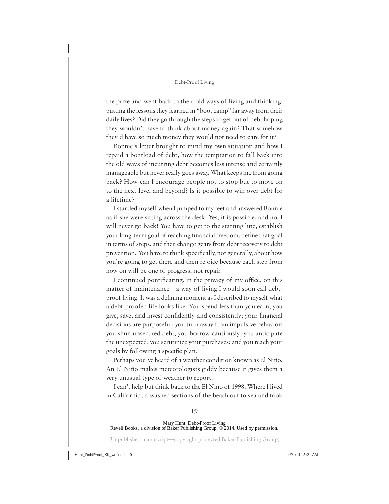the prize and went back to their old ways of living and thinking, putting the lessons they learned in "boot camp" far away from their daily lives? Did they go through the steps to get out of debt hoping they wouldn't have to think about money again? That somehow they'd have so much money they would not need to care for it?

Bonnie's letter brought to mind my own situation and how I repaid a boatload of debt, how the temptation to fall back into the old ways of incurring debt becomes less intense and certainly manageable but never really goes away. What keeps me from going back? How can I encourage people not to stop but to move on to the next level and beyond? Is it possible to win over debt for a lifetime?

I startled myself when I jumped to my feet and answered Bonnie as if she were sitting across the desk. Yes, it is possible, and no, I will never go back! You have to get to the starting line, establish your long-term goal of reaching financial freedom, define that goal in terms of steps, and then change gears from debt recovery to debt prevention. You have to think specifically, not generally, about how you're going to get there and then rejoice because each step from now on will be one of progress, not repair.

I continued pontificating, in the privacy of my office, on this matter of maintenance—a way of living I would soon call debtproof living. It was a defining moment as I described to myself what a debt-proofed life looks like: You spend less than you earn; you give, save, and invest confidently and consistently; your financial decisions are purposeful; you turn away from impulsive behavior; you shun unsecured debt; you borrow cautiously; you anticipate the unexpected; you scrutinize your purchases; and you reach your goals by following a specific plan.

Perhaps you've heard of a weather condition known as El Niño. An El Niño makes meteorologists giddy because it gives them a very unusual type of weather to report.

I can't help but think back to the El Niño of 1998. Where I lived in California, it washed sections of the beach out to sea and took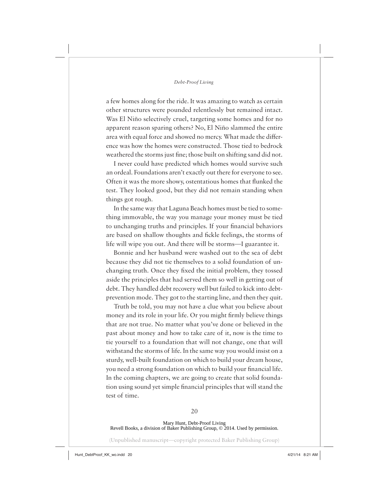a few homes along for the ride. It was amazing to watch as certain other structures were pounded relentlessly but remained intact. Was El Niño selectively cruel, targeting some homes and for no apparent reason sparing others? No, El Niño slammed the entire area with equal force and showed no mercy. What made the difference was how the homes were constructed. Those tied to bedrock weathered the storms just fine; those built on shifting sand did not.

I never could have predicted which homes would survive such an ordeal. Foundations aren't exactly out there for everyone to see. Often it was the more showy, ostentatious homes that flunked the test. They looked good, but they did not remain standing when things got rough.

In the same way that Laguna Beach homes must be tied to something immovable, the way you manage your money must be tied to unchanging truths and principles. If your financial behaviors are based on shallow thoughts and fickle feelings, the storms of life will wipe you out. And there will be storms—I guarantee it.

Bonnie and her husband were washed out to the sea of debt because they did not tie themselves to a solid foundation of unchanging truth. Once they fixed the initial problem, they tossed aside the principles that had served them so well in getting out of debt. They handled debt recovery well but failed to kick into debtprevention mode. They got to the starting line, and then they quit.

Truth be told, you may not have a clue what you believe about money and its role in your life. Or you might firmly believe things that are not true. No matter what you've done or believed in the past about money and how to take care of it, now is the time to tie yourself to a foundation that will not change, one that will withstand the storms of life. In the same way you would insist on a sturdy, well-built foundation on which to build your dream house, you need a strong foundation on which to build your financial life. In the coming chapters, we are going to create that solid foundation using sound yet simple financial principles that will stand the test of time.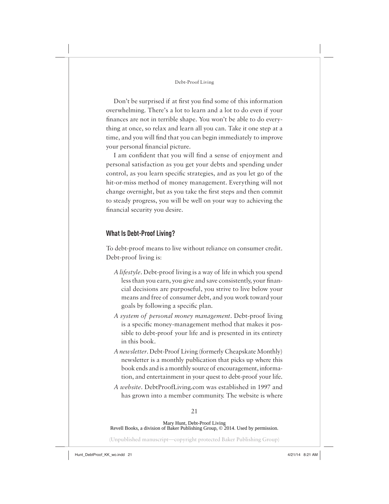Don't be surprised if at first you find some of this information overwhelming. There's a lot to learn and a lot to do even if your finances are not in terrible shape. You won't be able to do everything at once, so relax and learn all you can. Take it one step at a time, and you will find that you can begin immediately to improve your personal financial picture.

I am confident that you will find a sense of enjoyment and personal satisfaction as you get your debts and spending under control, as you learn specific strategies, and as you let go of the hit-or-miss method of money management. Everything will not change overnight, but as you take the first steps and then commit to steady progress, you will be well on your way to achieving the financial security you desire.

# **What Is Debt-Proof Living?**

To debt-proof means to live without reliance on consumer credit. Debt-proof living is:

- *A lifestyle*. Debt-proof living is a way of life in which you spend less than you earn, you give and save consistently, your financial decisions are purposeful, you strive to live below your means and free of consumer debt, and you work toward your goals by following a specific plan.
- *A system of personal money management*. Debt-proof living is a specific money-management method that makes it possible to debt-proof your life and is presented in its entirety in this book.
- *A newsletter*. Debt-Proof Living (formerly Cheapskate Monthly) newsletter is a monthly publication that picks up where this book ends and is a monthly source of encouragement, information, and entertainment in your quest to debt-proof your life.
- *A website*. DebtProofLiving.com was established in 1997 and has grown into a member community. The website is where

21

Mary Hunt, Debt-Proof Living Revell Books, a division of Baker Publishing Group, © 2014. Used by permission.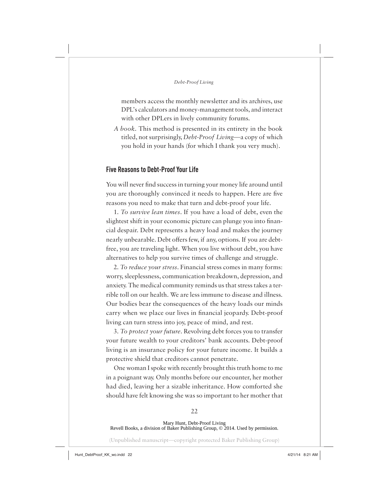members access the monthly newsletter and its archives, use DPL's calculators and money-management tools, and interact with other DPLers in lively community forums.

*A book*. This method is presented in its entirety in the book titled, not surprisingly, *Debt-Proof Living*—a copy of which you hold in your hands (for which I thank you very much).

# **Five Reasons to Debt-Proof Your Life**

You will never find success in turning your money life around until you are thoroughly convinced it needs to happen. Here are five reasons you need to make that turn and debt-proof your life.

1. *To survive lean times*. If you have a load of debt, even the slightest shift in your economic picture can plunge you into financial despair. Debt represents a heavy load and makes the journey nearly unbearable. Debt offers few, if any, options. If you are debtfree, you are traveling light. When you live without debt, you have alternatives to help you survive times of challenge and struggle.

2. *To reduce your stress*. Financial stress comes in many forms: worry, sleeplessness, communication breakdown, depression, and anxiety. The medical community reminds us that stress takes a terrible toll on our health. We are less immune to disease and illness. Our bodies bear the consequences of the heavy loads our minds carry when we place our lives in financial jeopardy. Debt-proof living can turn stress into joy, peace of mind, and rest.

3. *To protect your future*. Revolving debt forces you to transfer your future wealth to your creditors' bank accounts. Debt-proof living is an insurance policy for your future income. It builds a protective shield that creditors cannot penetrate.

One woman I spoke with recently brought this truth home to me in a poignant way. Only months before our encounter, her mother had died, leaving her a sizable inheritance. How comforted she should have felt knowing she was so important to her mother that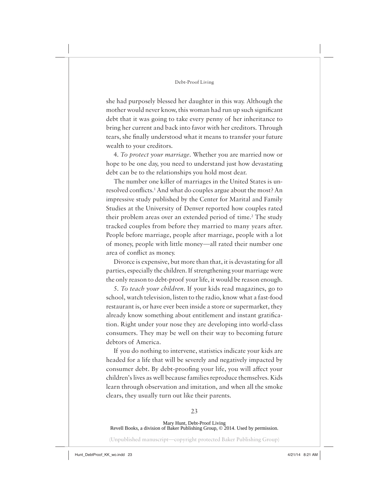she had purposely blessed her daughter in this way. Although the mother would never know, this woman had run up such significant debt that it was going to take every penny of her inheritance to bring her current and back into favor with her creditors. Through tears, she finally understood what it means to transfer your future wealth to your creditors.

4. *To protect your marriage*. Whether you are married now or hope to be one day, you need to understand just how devastating debt can be to the relationships you hold most dear.

The number one killer of marriages in the United States is unresolved conflicts.<sup>1</sup> And what do couples argue about the most? An impressive study published by the Center for Marital and Family Studies at the University of Denver reported how couples rated their problem areas over an extended period of time. 2 The study tracked couples from before they married to many years after. People before marriage, people after marriage, people with a lot of money, people with little money—all rated their number one area of conflict as money.

Divorce is expensive, but more than that, it is devastating for all parties, especially the children. If strengthening your marriage were the only reason to debt-proof your life, it would be reason enough.

5. *To teach your children*. If your kids read magazines, go to school, watch television, listen to the radio, know what a fast-food restaurant is, or have ever been inside a store or supermarket, they already know something about entitlement and instant gratification. Right under your nose they are developing into world-class consumers. They may be well on their way to becoming future debtors of America.

If you do nothing to intervene, statistics indicate your kids are headed for a life that will be severely and negatively impacted by consumer debt. By debt-proofing your life, you will affect your children's lives as well because families reproduce themselves. Kids learn through observation and imitation, and when all the smoke clears, they usually turn out like their parents.

23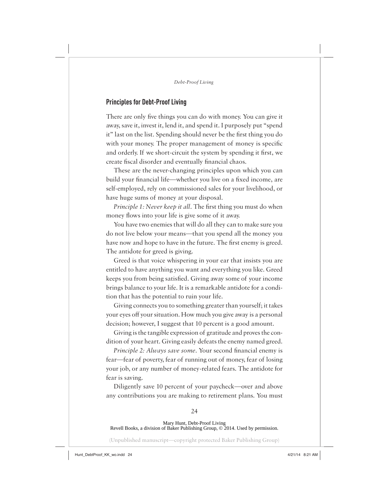# **Principles for Debt-Proof Living**

There are only five things you can do with money. You can give it away, save it, invest it, lend it, and spend it. I purposely put "spend it" last on the list. Spending should never be the first thing you do with your money. The proper management of money is specific and orderly. If we short-circuit the system by spending it first, we create fiscal disorder and eventually financial chaos.

These are the never-changing principles upon which you can build your financial life—whether you live on a fixed income, are self-employed, rely on commissioned sales for your livelihood, or have huge sums of money at your disposal.

*Principle 1: Never keep it all*. The first thing you must do when money flows into your life is give some of it away.

You have two enemies that will do all they can to make sure you do not live below your means—that you spend all the money you have now and hope to have in the future. The first enemy is greed. The antidote for greed is giving.

Greed is that voice whispering in your ear that insists you are entitled to have anything you want and everything you like. Greed keeps you from being satisfied. Giving away some of your income brings balance to your life. It is a remarkable antidote for a condition that has the potential to ruin your life.

Giving connects you to something greater than yourself; it takes your eyes off your situation. How much you give away is a personal decision; however, I suggest that 10 percent is a good amount.

Giving is the tangible expression of gratitude and proves the condition of your heart. Giving easily defeats the enemy named greed.

*Principle 2: Always save some*. Your second financial enemy is fear—fear of poverty, fear of running out of money, fear of losing your job, or any number of money-related fears. The antidote for fear is saving.

Diligently save 10 percent of your paycheck—over and above any contributions you are making to retirement plans. You must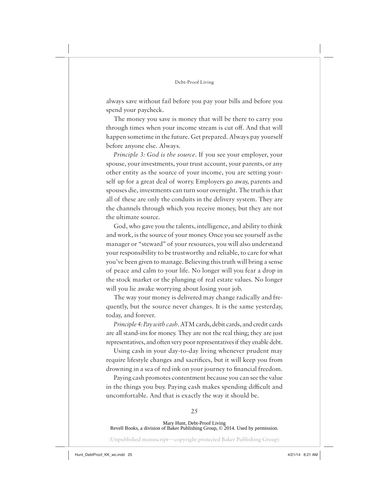always save without fail before you pay your bills and before you spend your paycheck.

The money you save is money that will be there to carry you through times when your income stream is cut off. And that will happen sometime in the future. Get prepared. Always pay yourself before anyone else. Always.

*Principle 3: God is the source*. If you see your employer, your spouse, your investments, your trust account, your parents, or any other entity as the source of your income, you are setting yourself up for a great deal of worry. Employers go away, parents and spouses die, investments can turn sour overnight. The truth is that all of these are only the conduits in the delivery system. They are the channels through which you receive money, but they are not the ultimate source.

God, who gave you the talents, intelligence, and ability to think and work, is the source of your money. Once you see yourself as the manager or "steward" of your resources, you will also understand your responsibility to be trustworthy and reliable, to care for what you've been given to manage. Believing this truth will bring a sense of peace and calm to your life. No longer will you fear a drop in the stock market or the plunging of real estate values. No longer will you lie awake worrying about losing your job.

The way your money is delivered may change radically and frequently, but the source never changes. It is the same yesterday, today, and forever.

*Principle 4: Pay with cash*. ATM cards, debit cards, and credit cards are all stand-ins for money. They are not the real thing; they are just representatives, and often very poor representatives if they enable debt.

Using cash in your day-to-day living whenever prudent may require lifestyle changes and sacrifices, but it will keep you from drowning in a sea of red ink on your journey to financial freedom.

Paying cash promotes contentment because you can see the value in the things you buy. Paying cash makes spending difficult and uncomfortable. And that is exactly the way it should be.

25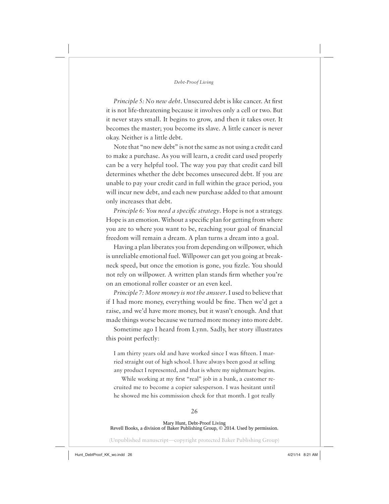*Principle 5: No new debt*. Unsecured debt is like cancer. At first it is not life-threatening because it involves only a cell or two. But it never stays small. It begins to grow, and then it takes over. It becomes the master; you become its slave. A little cancer is never okay. Neither is a little debt.

Note that "no new debt" is not the same as not using a credit card to make a purchase. As you will learn, a credit card used properly can be a very helpful tool. The way you pay that credit card bill determines whether the debt becomes unsecured debt. If you are unable to pay your credit card in full within the grace period, you will incur new debt, and each new purchase added to that amount only increases that debt.

*Principle 6: You need a specific strategy*. Hope is not a strategy. Hope is an emotion. Without a specific plan for getting from where you are to where you want to be, reaching your goal of financial freedom will remain a dream. A plan turns a dream into a goal.

Having a plan liberates you from depending on willpower, which is unreliable emotional fuel. Willpower can get you going at breakneck speed, but once the emotion is gone, you fizzle. You should not rely on willpower. A written plan stands firm whether you're on an emotional roller coaster or an even keel.

*Principle 7: More money is not the answer*. I used to believe that if I had more money, everything would be fine. Then we'd get a raise, and we'd have more money, but it wasn't enough. And that made things worse because we turned more money into more debt.

Sometime ago I heard from Lynn. Sadly, her story illustrates this point perfectly:

I am thirty years old and have worked since I was fifteen. I married straight out of high school. I have always been good at selling any product I represented, and that is where my nightmare begins.

While working at my first "real" job in a bank, a customer recruited me to become a copier salesperson. I was hesitant until he showed me his commission check for that month. I got really

26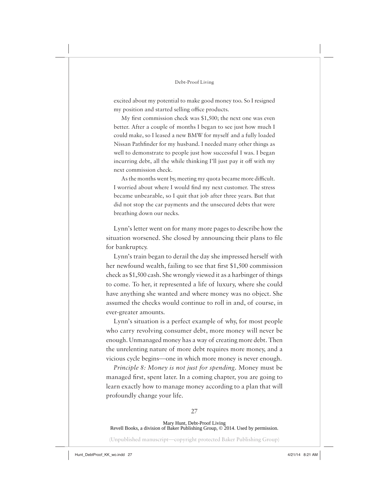excited about my potential to make good money too. So I resigned my position and started selling office products.

My first commission check was \$1,500; the next one was even better. After a couple of months I began to see just how much I could make, so I leased a new BMW for myself and a fully loaded Nissan Pathfinder for my husband. I needed many other things as well to demonstrate to people just how successful I was. I began incurring debt, all the while thinking I'll just pay it off with my next commission check.

As the months went by, meeting my quota became more difficult. I worried about where I would find my next customer. The stress became unbearable, so I quit that job after three years. But that did not stop the car payments and the unsecured debts that were breathing down our necks.

Lynn's letter went on for many more pages to describe how the situation worsened. She closed by announcing their plans to file for bankruptcy.

Lynn's train began to derail the day she impressed herself with her newfound wealth, failing to see that first \$1,500 commission check as \$1,500 cash. She wrongly viewed it as a harbinger of things to come. To her, it represented a life of luxury, where she could have anything she wanted and where money was no object. She assumed the checks would continue to roll in and, of course, in ever-greater amounts.

Lynn's situation is a perfect example of why, for most people who carry revolving consumer debt, more money will never be enough. Unmanaged money has a way of creating more debt. Then the unrelenting nature of more debt requires more money, and a vicious cycle begins—one in which more money is never enough.

*Principle 8: Money is not just for spending*. Money must be managed first, spent later. In a coming chapter, you are going to learn exactly how to manage money according to a plan that will profoundly change your life.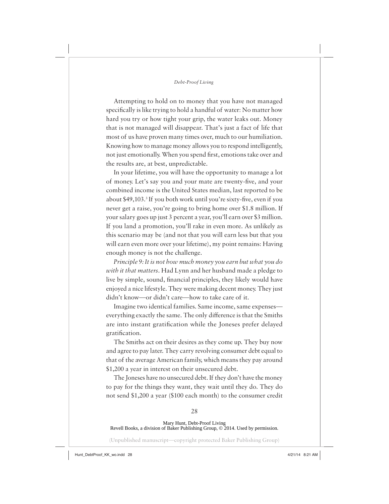Attempting to hold on to money that you have not managed specifically is like trying to hold a handful of water: No matter how hard you try or how tight your grip, the water leaks out. Money that is not managed will disappear. That's just a fact of life that most of us have proven many times over, much to our humiliation. Knowing how to manage money allows you to respond intelligently, not just emotionally. When you spend first, emotions take over and the results are, at best, unpredictable.

In your lifetime, you will have the opportunity to manage a lot of money. Let's say you and your mate are twenty-five, and your combined income is the United States median, last reported to be about \$49,103.<sup>3</sup> If you both work until you're sixty-five, even if you never get a raise, you're going to bring home over \$1.8 million. If your salary goes up just 3 percent a year, you'll earn over \$3 million. If you land a promotion, you'll rake in even more. As unlikely as this scenario may be (and not that you will earn less but that you will earn even more over your lifetime), my point remains: Having enough money is not the challenge.

*Principle 9: It is not how much money you earn but what you do with it that matters*. Had Lynn and her husband made a pledge to live by simple, sound, financial principles, they likely would have enjoyed a nice lifestyle. They were making decent money. They just didn't know—or didn't care—how to take care of it.

Imagine two identical families. Same income, same expenses everything exactly the same. The only difference is that the Smiths are into instant gratification while the Joneses prefer delayed gratification.

The Smiths act on their desires as they come up. They buy now and agree to pay later. They carry revolving consumer debt equal to that of the average American family, which means they pay around \$1,200 a year in interest on their unsecured debt.

The Joneses have no unsecured debt. If they don't have the money to pay for the things they want, they wait until they do. They do not send \$1,200 a year (\$100 each month) to the consumer credit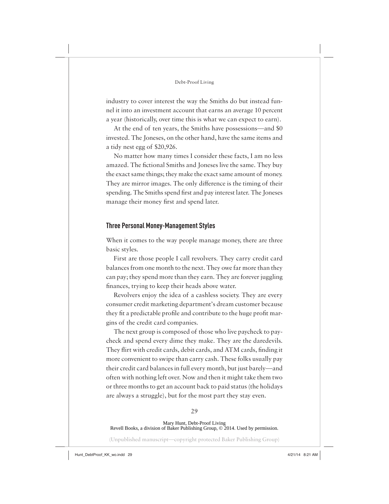industry to cover interest the way the Smiths do but instead funnel it into an investment account that earns an average 10 percent a year (historically, over time this is what we can expect to earn).

At the end of ten years, the Smiths have possessions—and \$0 invested. The Joneses, on the other hand, have the same items and a tidy nest egg of \$20,926.

No matter how many times I consider these facts, I am no less amazed. The fictional Smiths and Joneses live the same. They buy the exact same things; they make the exact same amount of money. They are mirror images. The only difference is the timing of their spending. The Smiths spend first and pay interest later. The Joneses manage their money first and spend later.

# **Three Personal Money-Management Styles**

When it comes to the way people manage money, there are three basic styles.

First are those people I call revolvers. They carry credit card balances from one month to the next. They owe far more than they can pay; they spend more than they earn. They are forever juggling finances, trying to keep their heads above water.

Revolvers enjoy the idea of a cashless society. They are every consumer credit marketing department's dream customer because they fit a predictable profile and contribute to the huge profit margins of the credit card companies.

The next group is composed of those who live paycheck to paycheck and spend every dime they make. They are the daredevils. They flirt with credit cards, debit cards, and ATM cards, finding it more convenient to swipe than carry cash. These folks usually pay their credit card balances in full every month, but just barely—and often with nothing left over. Now and then it might take them two or three months to get an account back to paid status (the holidays are always a struggle), but for the most part they stay even.

29

Mary Hunt, Debt-Proof Living Revell Books, a division of Baker Publishing Group, © 2014. Used by permission.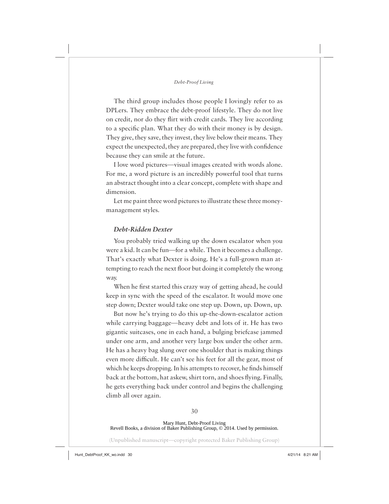The third group includes those people I lovingly refer to as DPLers. They embrace the debt-proof lifestyle. They do not live on credit, nor do they flirt with credit cards. They live according to a specific plan. What they do with their money is by design. They give, they save, they invest, they live below their means. They expect the unexpected, they are prepared, they live with confidence because they can smile at the future.

I love word pictures—visual images created with words alone. For me, a word picture is an incredibly powerful tool that turns an abstract thought into a clear concept, complete with shape and dimension.

Let me paint three word pictures to illustrate these three moneymanagement styles.

# **Debt-Ridden Dexter**

You probably tried walking up the down escalator when you were a kid. It can be fun—for a while. Then it becomes a challenge. That's exactly what Dexter is doing. He's a full-grown man attempting to reach the next floor but doing it completely the wrong way.

When he first started this crazy way of getting ahead, he could keep in sync with the speed of the escalator. It would move one step down; Dexter would take one step up. Down, up. Down, up.

But now he's trying to do this up-the-down-escalator action while carrying baggage—heavy debt and lots of it. He has two gigantic suitcases, one in each hand, a bulging briefcase jammed under one arm, and another very large box under the other arm. He has a heavy bag slung over one shoulder that is making things even more difficult. He can't see his feet for all the gear, most of which he keeps dropping. In his attempts to recover, he finds himself back at the bottom, hat askew, shirt torn, and shoes flying. Finally, he gets everything back under control and begins the challenging climb all over again.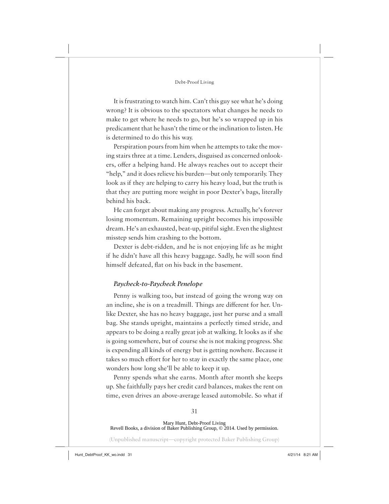It is frustrating to watch him. Can't this guy see what he's doing wrong? It is obvious to the spectators what changes he needs to make to get where he needs to go, but he's so wrapped up in his predicament that he hasn't the time or the inclination to listen. He is determined to do this his way.

Perspiration pours from him when he attempts to take the moving stairs three at a time. Lenders, disguised as concerned onlookers, offer a helping hand. He always reaches out to accept their "help," and it does relieve his burden—but only temporarily. They look as if they are helping to carry his heavy load, but the truth is that they are putting more weight in poor Dexter's bags, literally behind his back.

He can forget about making any progress. Actually, he's forever losing momentum. Remaining upright becomes his impossible dream. He's an exhausted, beat-up, pitiful sight. Even the slightest misstep sends him crashing to the bottom.

Dexter is debt-ridden, and he is not enjoying life as he might if he didn't have all this heavy baggage. Sadly, he will soon find himself defeated, flat on his back in the basement.

# **Paycheck-to-Paycheck Penelope**

Penny is walking too, but instead of going the wrong way on an incline, she is on a treadmill. Things are different for her. Unlike Dexter, she has no heavy baggage, just her purse and a small bag. She stands upright, maintains a perfectly timed stride, and appears to be doing a really great job at walking. It looks as if she is going somewhere, but of course she is not making progress. She is expending all kinds of energy but is getting nowhere. Because it takes so much effort for her to stay in exactly the same place, one wonders how long she'll be able to keep it up.

Penny spends what she earns. Month after month she keeps up. She faithfully pays her credit card balances, makes the rent on time, even drives an above-average leased automobile. So what if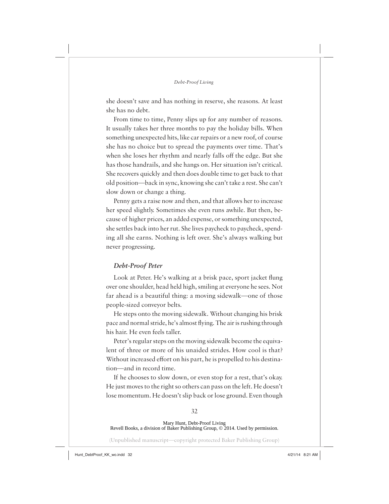she doesn't save and has nothing in reserve, she reasons. At least she has no debt.

From time to time, Penny slips up for any number of reasons. It usually takes her three months to pay the holiday bills. When something unexpected hits, like car repairs or a new roof, of course she has no choice but to spread the payments over time. That's when she loses her rhythm and nearly falls off the edge. But she has those handrails, and she hangs on. Her situation isn't critical. She recovers quickly and then does double time to get back to that old position—back in sync, knowing she can't take a rest. She can't slow down or change a thing.

Penny gets a raise now and then, and that allows her to increase her speed slightly. Sometimes she even runs awhile. But then, because of higher prices, an added expense, or something unexpected, she settles back into her rut. She lives paycheck to paycheck, spending all she earns. Nothing is left over. She's always walking but never progressing.

# **Debt-Proof Peter**

Look at Peter. He's walking at a brisk pace, sport jacket flung over one shoulder, head held high, smiling at everyone he sees. Not far ahead is a beautiful thing: a moving sidewalk—one of those people-sized conveyor belts.

He steps onto the moving sidewalk. Without changing his brisk pace and normal stride, he's almost flying. The air is rushing through his hair. He even feels taller.

Peter's regular steps on the moving sidewalk become the equivalent of three or more of his unaided strides. How cool is that? Without increased effort on his part, he is propelled to his destination—and in record time.

If he chooses to slow down, or even stop for a rest, that's okay. He just moves to the right so others can pass on the left. He doesn't lose momentum. He doesn't slip back or lose ground. Even though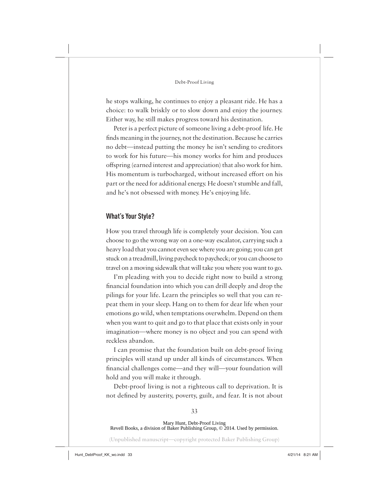he stops walking, he continues to enjoy a pleasant ride. He has a choice: to walk briskly or to slow down and enjoy the journey. Either way, he still makes progress toward his destination.

Peter is a perfect picture of someone living a debt-proof life. He finds meaning in the journey, not the destination. Because he carries no debt—instead putting the money he isn't sending to creditors to work for his future—his money works for him and produces offspring (earned interest and appreciation) that also work for him. His momentum is turbocharged, without increased effort on his part or the need for additional energy. He doesn't stumble and fall, and he's not obsessed with money. He's enjoying life.

# **What's Your Style?**

How you travel through life is completely your decision. You can choose to go the wrong way on a one-way escalator, carrying such a heavy load that you cannot even see where you are going; you can get stuck on a treadmill, living paycheck to paycheck; or you can choose to travel on a moving sidewalk that will take you where you want to go.

I'm pleading with you to decide right now to build a strong financial foundation into which you can drill deeply and drop the pilings for your life. Learn the principles so well that you can repeat them in your sleep. Hang on to them for dear life when your emotions go wild, when temptations overwhelm. Depend on them when you want to quit and go to that place that exists only in your imagination—where money is no object and you can spend with reckless abandon.

I can promise that the foundation built on debt-proof living principles will stand up under all kinds of circumstances. When financial challenges come—and they will—your foundation will hold and you will make it through.

Debt-proof living is not a righteous call to deprivation. It is not defined by austerity, poverty, guilt, and fear. It is not about